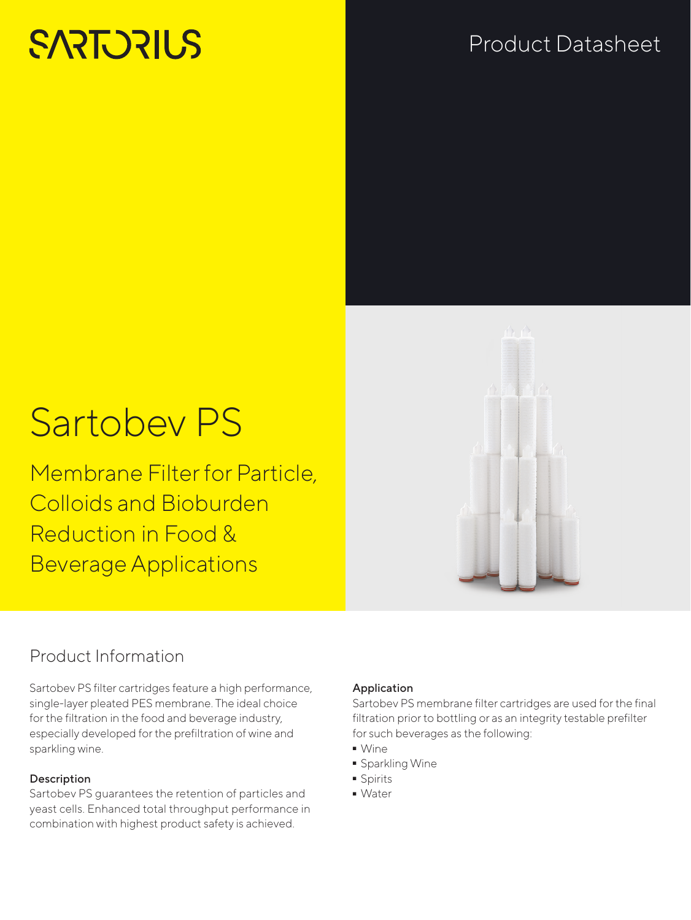# **SARTORILS**

# Product Datasheet

# Sartobev PS

Membrane Filter for Particle, Colloids and Bioburden Reduction in Food & Beverage Applications

# Product Information

Sartobev PS filter cartridges feature a high performance, single-layer pleated PES membrane. The ideal choice for the filtration in the food and beverage industry, especially developed for the prefiltration of wine and sparkling wine.

# **Description**

Sartobev PS guarantees the retention of particles and yeast cells. Enhanced total throughput performance in combination with highest product safety is achieved.

## Application

Sartobev PS membrane filter cartridges are used for the final filtration prior to bottling or as an integrity testable prefilter for such beverages as the following:

- 
- Wine<br>• Spark • Sparkling Wine<br>• Spirits
- Spirits<br>• Water
- Water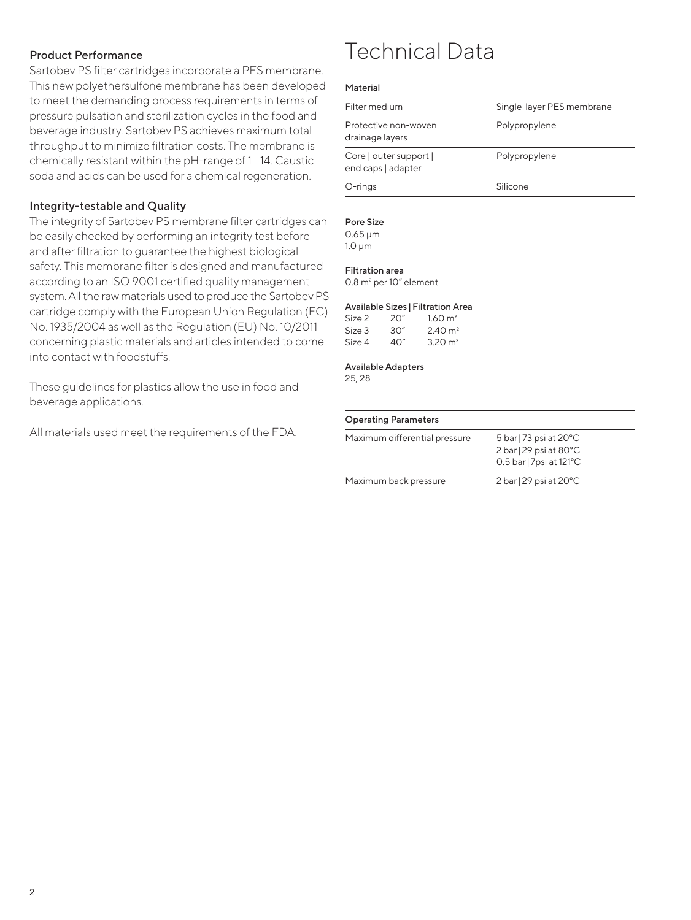## Product Performance

Sartobev PS filter cartridges incorporate a PES membrane. This new polyethersulfone membrane has been developed to meet the demanding process requirements in terms of pressure pulsation and sterilization cycles in the food and beverage industry. Sartobev PS achieves maximum total throughput to minimize filtration costs. The membrane is chemically resistant within the pH-range of 1 – 14. Caustic soda and acids can be used for a chemical regeneration.

### Integrity-testable and Quality

The integrity of Sartobev PS membrane filter cartridges can be easily checked by performing an integrity test before and after filtration to guarantee the highest biological safety. This membrane filter is designed and manufactured according to an ISO 9001 certified quality management system. All the raw materials used to produce the Sartobev PS cartridge comply with the European Union Regulation (EC) No. 1935/2004 as well as the Regulation (EU) No. 10/2011 concerning plastic materials and articles intended to come into contact with foodstuffs.

These guidelines for plastics allow the use in food and beverage applications.

All materials used meet the requirements of the FDA.

# Technical Data

#### Material

| .                                            |                           |
|----------------------------------------------|---------------------------|
| Filter medium                                | Single-layer PES membrane |
| Protective non-woven<br>drainage layers      | Polypropylene             |
| Core   outer support  <br>end caps   adapter | Polypropylene             |
| O-rings                                      | Silicone                  |

#### Pore Size

0.65 μm 1.0 μm

#### Filtration area

0.8 m<sup>2</sup> per 10" element

## Available Sizes |Filtration Area

| Size 2 | 20″ | $1.60 \text{ m}^2$ |
|--------|-----|--------------------|
| Size 3 | 30″ | $2.40 \text{ m}^2$ |
| Size 4 | 40" | $3.20 \text{ m}^2$ |

Available Adapters

25, 28

#### Operating Parameters

| Maximum differential pressure | 5 bar   73 psi at $20^{\circ}$ C<br>$2 \text{ bar}$   29 psi at 80 $^{\circ}$ C<br>0.5 bar   7psi at 121°C |  |
|-------------------------------|------------------------------------------------------------------------------------------------------------|--|
| Maximum back pressure         | 2 bar   29 psi at $20^{\circ}$ C                                                                           |  |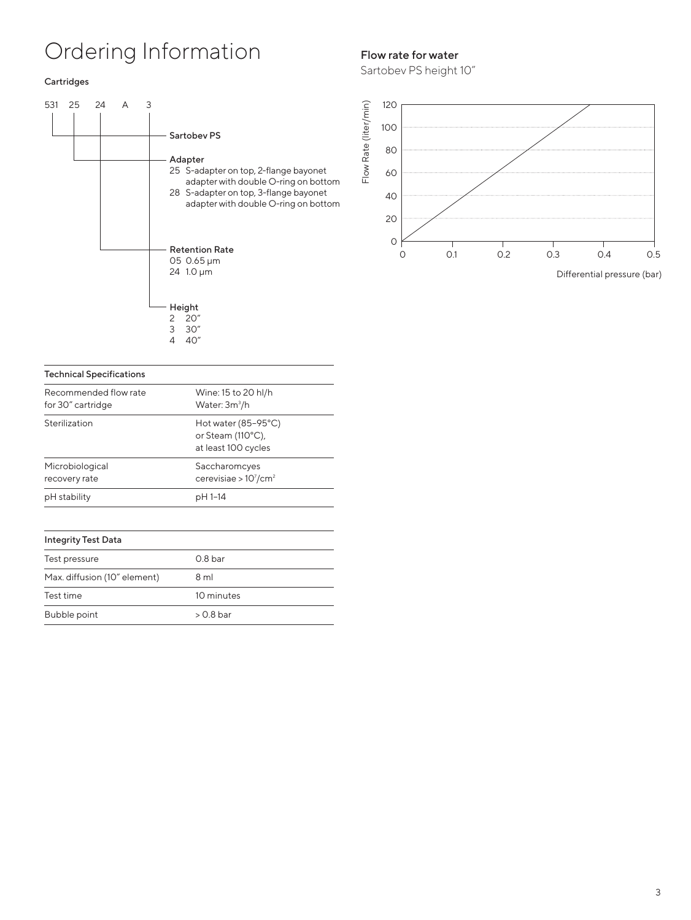# Ordering Information

#### Cartridges



#### Technical Specifications Recommended flow rate for 30" cartridge Wine: 15 to 20 hl/h Water: 3m<sup>3</sup>/h Sterilization Hot water (85-95°C)  $(110°C)$

|                                  | or Steam $(HU^{\circ}U)$ ,<br>at least 100 cycles     |
|----------------------------------|-------------------------------------------------------|
| Microbiological<br>recovery rate | Saccharomcyes<br>cerevisiae > $10^7$ /cm <sup>2</sup> |
| pH stability                     | pH 1-14                                               |

### Integrity Test Data

| Test pressure                | 0.8 <sub>bar</sub> |
|------------------------------|--------------------|
| Max. diffusion (10" element) | 8 ml               |
| Test time                    | 10 minutes         |
| Bubble point                 | $> 0.8$ bar        |

# Flow rate for water

Sartobev PS height 10"